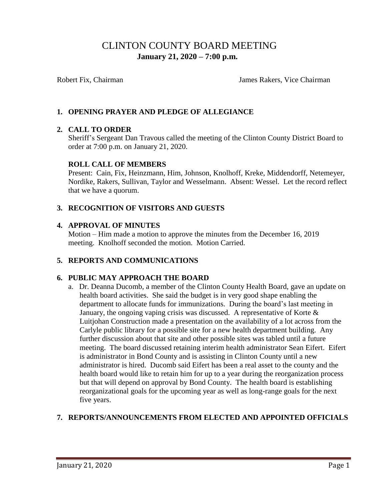# CLINTON COUNTY BOARD MEETING  **January 21, 2020 – 7:00 p.m.**

Robert Fix, Chairman **Islams** James Rakers, Vice Chairman

# **1. OPENING PRAYER AND PLEDGE OF ALLEGIANCE**

### **2. CALL TO ORDER**

Sheriff's Sergeant Dan Travous called the meeting of the Clinton County District Board to order at 7:00 p.m. on January 21, 2020.

### **ROLL CALL OF MEMBERS**

Present: Cain, Fix, Heinzmann, Him, Johnson, Knolhoff, Kreke, Middendorff, Netemeyer, Nordike, Rakers, Sullivan, Taylor and Wesselmann. Absent: Wessel. Let the record reflect that we have a quorum.

### **3. RECOGNITION OF VISITORS AND GUESTS**

### **4. APPROVAL OF MINUTES**

Motion – Him made a motion to approve the minutes from the December 16, 2019 meeting. Knolhoff seconded the motion. Motion Carried.

### **5. REPORTS AND COMMUNICATIONS**

### **6. PUBLIC MAY APPROACH THE BOARD**

 a. Dr. Deanna Ducomb, a member of the Clinton County Health Board, gave an update on health board activities. She said the budget is in very good shape enabling the department to allocate funds for immunizations. During the board's last meeting in January, the ongoing vaping crisis was discussed. A representative of Korte  $\&$ Luitjohan Construction made a presentation on the availability of a lot across from the Carlyle public library for a possible site for a new health department building. Any further discussion about that site and other possible sites was tabled until a future meeting. The board discussed retaining interim health administrator Sean Eifert. Eifert is administrator in Bond County and is assisting in Clinton County until a new administrator is hired. Ducomb said Eifert has been a real asset to the county and the health board would like to retain him for up to a year during the reorganization process but that will depend on approval by Bond County. The health board is establishing reorganizational goals for the upcoming year as well as long-range goals for the next five years.

### **7. REPORTS/ANNOUNCEMENTS FROM ELECTED AND APPOINTED OFFICIALS**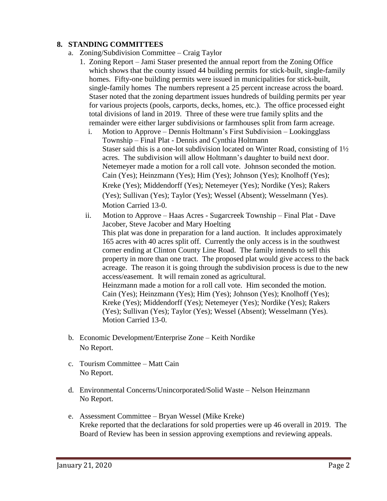### **8. STANDING COMMITTEES**

- a. Zoning/Subdivision Committee Craig Taylor
	- 1. Zoning Report Jami Staser presented the annual report from the Zoning Office which shows that the county issued 44 building permits for stick-built, single-family homes. Fifty-one building permits were issued in municipalities for stick-built, single-family homes The numbers represent a 25 percent increase across the board. Staser noted that the zoning department issues hundreds of building permits per year for various projects (pools, carports, decks, homes, etc.). The office processed eight total divisions of land in 2019. Three of these were true family splits and the remainder were either larger subdivisions or farmhouses split from farm acreage.
		- i. Motion to Approve Dennis Holtmann's First Subdivision Lookingglass Township – Final Plat - Dennis and Cynthia Holtmann Staser said this is a one-lot subdivision located on Winter Road, consisting of 1½ acres. The subdivision will allow Holtmann's daughter to build next door. Netemeyer made a motion for a roll call vote. Johnson seconded the motion. Cain (Yes); Heinzmann (Yes); Him (Yes); Johnson (Yes); Knolhoff (Yes); Kreke (Yes); Middendorff (Yes); Netemeyer (Yes); Nordike (Yes); Rakers (Yes); Sullivan (Yes); Taylor (Yes); Wessel (Absent); Wesselmann (Yes). Motion Carried 13-0.
		- ii. Motion to Approve Haas Acres Sugarcreek Township Final Plat Dave Jacober, Steve Jacober and Mary Hoelting This plat was done in preparation for a land auction. It includes approximately 165 acres with 40 acres split off. Currently the only access is in the southwest corner ending at Clinton County Line Road. The family intends to sell this property in more than one tract. The proposed plat would give access to the back acreage. The reason it is going through the subdivision process is due to the new access/easement. It will remain zoned as agricultural. Heinzmann made a motion for a roll call vote. Him seconded the motion. Cain (Yes); Heinzmann (Yes); Him (Yes); Johnson (Yes); Knolhoff (Yes); Kreke (Yes); Middendorff (Yes); Netemeyer (Yes); Nordike (Yes); Rakers (Yes); Sullivan (Yes); Taylor (Yes); Wessel (Absent); Wesselmann (Yes). Motion Carried 13-0.
- b. Economic Development/Enterprise Zone Keith Nordike No Report.
- c. Tourism Committee Matt Cain No Report.
- d. Environmental Concerns/Unincorporated/Solid Waste Nelson Heinzmann No Report.
- e. Assessment Committee Bryan Wessel (Mike Kreke) Kreke reported that the declarations for sold properties were up 46 overall in 2019. The Board of Review has been in session approving exemptions and reviewing appeals.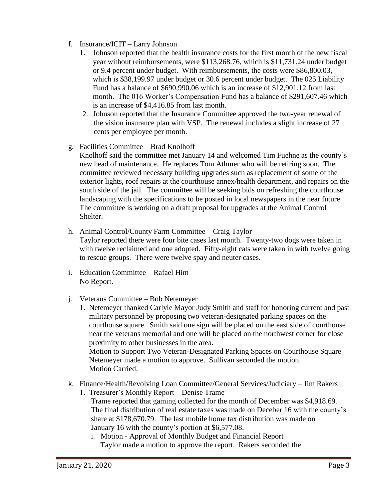- f. Insurance/ICIT Larry Johnson
	- 1. Johnson reported that the health insurance costs for the first month of the new fiscal year without reimbursements, were \$113,268.76, which is \$11,731.24 under budget or 9.4 percent under budget. With reimbursements, the costs were \$86,800.03, which is \$38,199.97 under budget or 30.6 percent under budget. The 025 Liability Fund has a balance of \$690,990.06 which is an increase of \$12,901.12 from last month. The 016 Worker's Compensation Fund has a balance of \$291,607.46 which is an increase of \$4,416.85 from last month.
	- 2. Johnson reported that the Insurance Committee approved the two-year renewal of the vision insurance plan with VSP. The renewal includes a slight increase of 27 cents per employee per month.
- g. Facilities Committee Brad Knolhoff
	- Knolhoff said the committee met January 14 and welcomed Tim Fuehne as the county's new head of maintenance. He replaces Tom Athmer who will be retiring soon. The committee reviewed necessary building upgrades such as replacement of some of the exterior lights, roof repairs at the courthouse annex/health department, and repairs on the south side of the jail. The committee will be seeking bids on refreshing the courthouse landscaping with the specifications to be posted in local newspapers in the near future. The committee is working on a draft proposal for upgrades at the Animal Control Shelter.
- h. Animal Control/County Farm Committee Craig Taylor
	- Taylor reported there were four bite cases last month. Twenty-two dogs were taken in with twelve reclaimed and one adopted. Fifty-eight cats were taken in with twelve going to rescue groups. There were twelve spay and neuter cases.
- i. Education Committee Rafael Him No Report.
- j. Veterans Committee Bob Netemeyer
	- 1. Netemeyer thanked Carlyle Mayor Judy Smith and staff for honoring current and past military personnel by proposing two veteran-designated parking spaces on the courthouse square. Smith said one sign will be placed on the east side of courthouse near the veterans memorial and one will be placed on the northwest corner for close proximity to other businesses in the area. Motion to Support Two Veteran-Designated Parking Spaces on Courthouse Square

 Netemeyer made a motion to approve. Sullivan seconded the motion. Motion Carried.

- k. Finance/Health/Revolving Loan Committee/General Services/Judiciary Jim Rakers
	- 1. Treasurer's Monthly Report Denise Trame Trame reported that gaming collected for the month of December was \$4,918.69. The final distribution of real estate taxes was made on Deceber 16 with the county's share at \$178,670.79. The last mobile home tax distribution was made on January 16 with the county's portion at \$6,577.08.
		- i. Motion Approval of Monthly Budget and Financial Report Taylor made a motion to approve the report. Rakers seconded the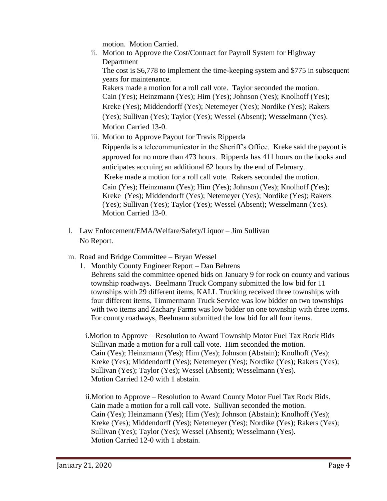motion. Motion Carried.

ii. Motion to Approve the Cost/Contract for Payroll System for Highway Department

The cost is \$6,778 to implement the time-keeping system and \$775 in subsequent years for maintenance.

 Rakers made a motion for a roll call vote. Taylor seconded the motion. Cain (Yes); Heinzmann (Yes); Him (Yes); Johnson (Yes); Knolhoff (Yes); Kreke (Yes); Middendorff (Yes); Netemeyer (Yes); Nordike (Yes); Rakers (Yes); Sullivan (Yes); Taylor (Yes); Wessel (Absent); Wesselmann (Yes). Motion Carried 13-0.

iii. Motion to Approve Payout for Travis Ripperda

Ripperda is a telecommunicator in the Sheriff's Office. Kreke said the payout is approved for no more than 473 hours. Ripperda has 411 hours on the books and anticipates accruing an additional 62 hours by the end of February. Kreke made a motion for a roll call vote. Rakers seconded the motion. Cain (Yes); Heinzmann (Yes); Him (Yes); Johnson (Yes); Knolhoff (Yes); Kreke (Yes); Middendorff (Yes); Netemeyer (Yes); Nordike (Yes); Rakers (Yes); Sullivan (Yes); Taylor (Yes); Wessel (Absent); Wesselmann (Yes). Motion Carried 13-0.

- l. Law Enforcement/EMA/Welfare/Safety/Liquor Jim Sullivan No Report.
- m. Road and Bridge Committee Bryan Wessel
	- 1. Monthly County Engineer Report Dan Behrens Behrens said the committee opened bids on January 9 for rock on county and various township roadways. Beelmann Truck Company submitted the low bid for 11 townships with 29 different items, KALL Trucking received three townships with four different items, Timmermann Truck Service was low bidder on two townships with two items and Zachary Farms was low bidder on one township with three items. For county roadways, Beelmann submitted the low bid for all four items.
		- i.Motion to Approve Resolution to Award Township Motor Fuel Tax Rock Bids Sullivan made a motion for a roll call vote. Him seconded the motion. Cain (Yes); Heinzmann (Yes); Him (Yes); Johnson (Abstain); Knolhoff (Yes); Kreke (Yes); Middendorff (Yes); Netemeyer (Yes); Nordike (Yes); Rakers (Yes); Sullivan (Yes); Taylor (Yes); Wessel (Absent); Wesselmann (Yes). Motion Carried 12-0 with 1 abstain.
		- ii.Motion to Approve Resolution to Award County Motor Fuel Tax Rock Bids. Cain made a motion for a roll call vote. Sullivan seconded the motion. Cain (Yes); Heinzmann (Yes); Him (Yes); Johnson (Abstain); Knolhoff (Yes); Kreke (Yes); Middendorff (Yes); Netemeyer (Yes); Nordike (Yes); Rakers (Yes); Sullivan (Yes); Taylor (Yes); Wessel (Absent); Wesselmann (Yes). Motion Carried 12-0 with 1 abstain.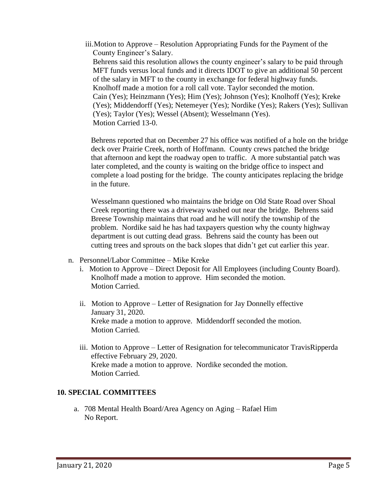iii.Motion to Approve – Resolution Appropriating Funds for the Payment of the County Engineer's Salary.

Behrens said this resolution allows the county engineer's salary to be paid through MFT funds versus local funds and it directs IDOT to give an additional 50 percent of the salary in MFT to the county in exchange for federal highway funds. Knolhoff made a motion for a roll call vote. Taylor seconded the motion. Cain (Yes); Heinzmann (Yes); Him (Yes); Johnson (Yes); Knolhoff (Yes); Kreke (Yes); Middendorff (Yes); Netemeyer (Yes); Nordike (Yes); Rakers (Yes); Sullivan (Yes); Taylor (Yes); Wessel (Absent); Wesselmann (Yes). Motion Carried 13-0.

Behrens reported that on December 27 his office was notified of a hole on the bridge deck over Prairie Creek, north of Hoffmann. County crews patched the bridge that afternoon and kept the roadway open to traffic. A more substantial patch was later completed, and the county is waiting on the bridge office to inspect and complete a load posting for the bridge. The county anticipates replacing the bridge in the future.

Wesselmann questioned who maintains the bridge on Old State Road over Shoal Creek reporting there was a driveway washed out near the bridge. Behrens said Breese Township maintains that road and he will notify the township of the problem. Nordike said he has had taxpayers question why the county highway department is out cutting dead grass. Behrens said the county has been out cutting trees and sprouts on the back slopes that didn't get cut earlier this year.

- n. Personnel/Labor Committee Mike Kreke
	- i. Motion to Approve Direct Deposit for All Employees (including County Board). Knolhoff made a motion to approve. Him seconded the motion. Motion Carried.
	- ii. Motion to Approve Letter of Resignation for Jay Donnelly effective January 31, 2020. Kreke made a motion to approve. Middendorff seconded the motion. Motion Carried.
	- iii. Motion to Approve Letter of Resignation for telecommunicator TravisRipperda effective February 29, 2020. Kreke made a motion to approve. Nordike seconded the motion. Motion Carried.

# **10. SPECIAL COMMITTEES**

a. 708 Mental Health Board/Area Agency on Aging – Rafael Him No Report.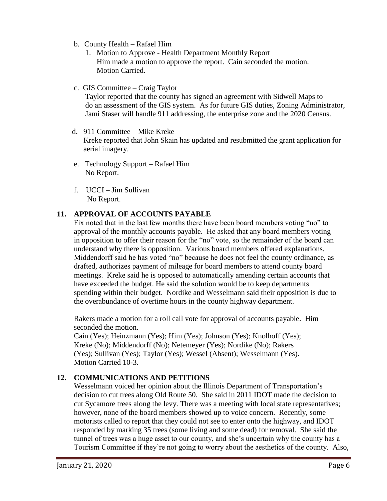- b. County Health Rafael Him
	- 1. Motion to Approve Health Department Monthly Report Him made a motion to approve the report. Cain seconded the motion. Motion Carried.
- c. GIS Committee Craig Taylor

 Taylor reported that the county has signed an agreement with Sidwell Maps to do an assessment of the GIS system. As for future GIS duties, Zoning Administrator, Jami Staser will handle 911 addressing, the enterprise zone and the 2020 Census.

- d. 911 Committee Mike Kreke Kreke reported that John Skain has updated and resubmitted the grant application for aerial imagery.
- e. Technology Support Rafael Him No Report.
- f. UCCI Jim Sullivan No Report.

# **11. APPROVAL OF ACCOUNTS PAYABLE**

Fix noted that in the last few months there have been board members voting "no" to approval of the monthly accounts payable. He asked that any board members voting in opposition to offer their reason for the "no" vote, so the remainder of the board can understand why there is opposition. Various board members offered explanations. Middendorff said he has voted "no" because he does not feel the county ordinance, as drafted, authorizes payment of mileage for board members to attend county board meetings. Kreke said he is opposed to automatically amending certain accounts that have exceeded the budget. He said the solution would be to keep departments spending within their budget. Nordike and Wesselmann said their opposition is due to the overabundance of overtime hours in the county highway department.

Rakers made a motion for a roll call vote for approval of accounts payable. Him seconded the motion.

 Cain (Yes); Heinzmann (Yes); Him (Yes); Johnson (Yes); Knolhoff (Yes); Kreke (No); Middendorff (No); Netemeyer (Yes); Nordike (No); Rakers (Yes); Sullivan (Yes); Taylor (Yes); Wessel (Absent); Wesselmann (Yes). Motion Carried 10-3.

# **12. COMMUNICATIONS AND PETITIONS**

Wesselmann voiced her opinion about the Illinois Department of Transportation's decision to cut trees along Old Route 50. She said in 2011 IDOT made the decision to cut Sycamore trees along the levy. There was a meeting with local state representatives; however, none of the board members showed up to voice concern. Recently, some motorists called to report that they could not see to enter onto the highway, and IDOT responded by marking 35 trees (some living and some dead) for removal. She said the tunnel of trees was a huge asset to our county, and she's uncertain why the county has a Tourism Committee if they're not going to worry about the aesthetics of the county. Also,